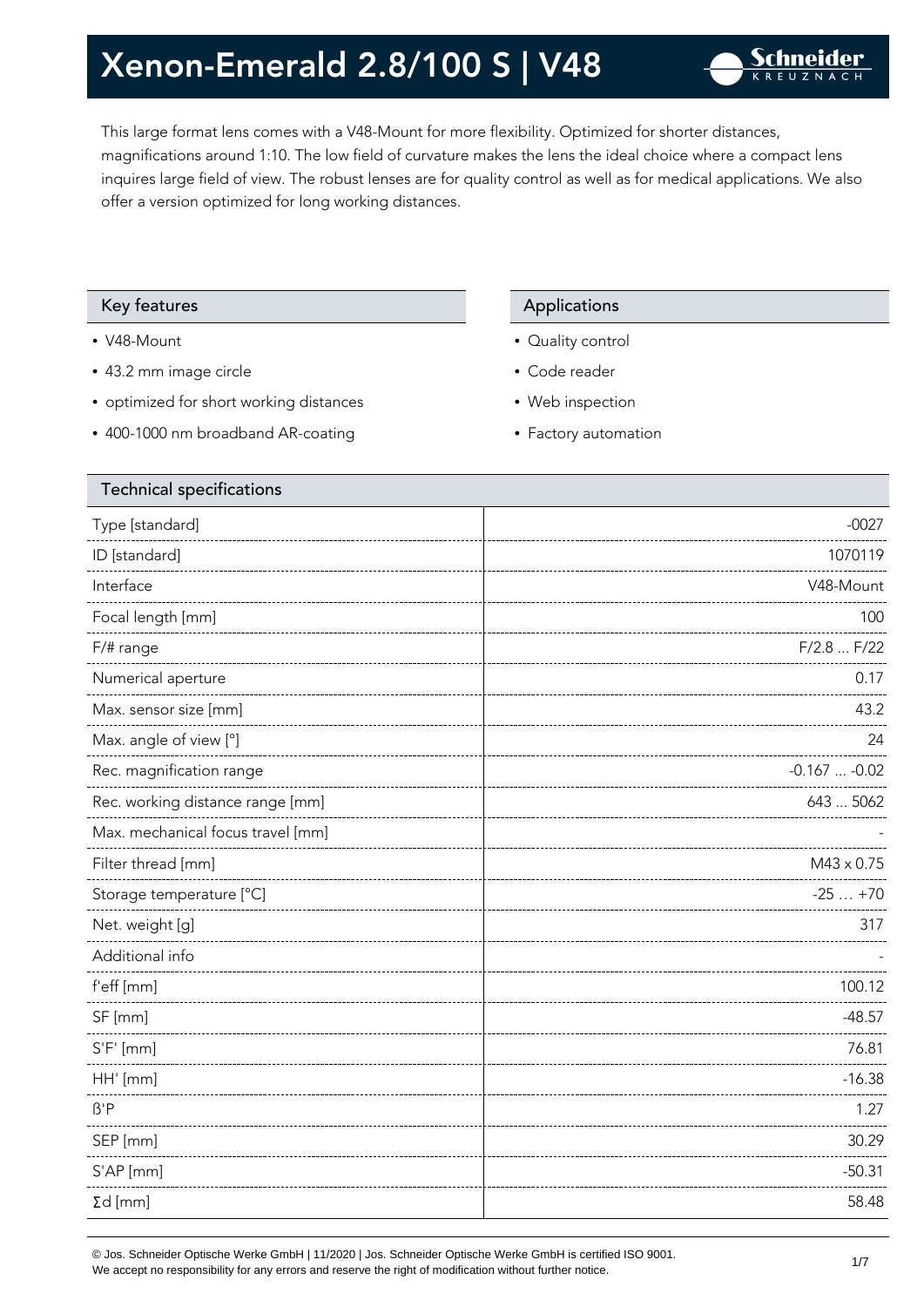

This large format lens comes with a V48-Mount for more flexibility. Optimized for shorter distances, magnifications around 1:10. The low field of curvature makes the lens the ideal choice where a compact lens inquires large field of view. The robust lenses are for quality control as well as for medical applications. We also offer a version optimized for long working distances.

#### Key features **Applications** Applications

- V48-Mount
- 43.2 mm image circle
- optimized for short working distances
- 400-1000 nm broadband AR-coating

- Quality control
- Code reader
- Web inspection
- Factory automation

| $-0027$<br>1070119 |
|--------------------|
|                    |
|                    |
| V48-Mount          |
| 100                |
| F/2.8  F/22        |
| 0.17               |
| 43.2               |
| 24                 |
| $-0.167 -0.02$     |
| 643  5062          |
|                    |
| $M43 \times 0.75$  |
| $-25+70$           |
| 317                |
|                    |
| 100.12             |
| $-48.57$           |
| 76.81              |
| $-16.38$           |
| 1.27               |
| 30.29              |
| $-50.31$           |
| 58.48              |
|                    |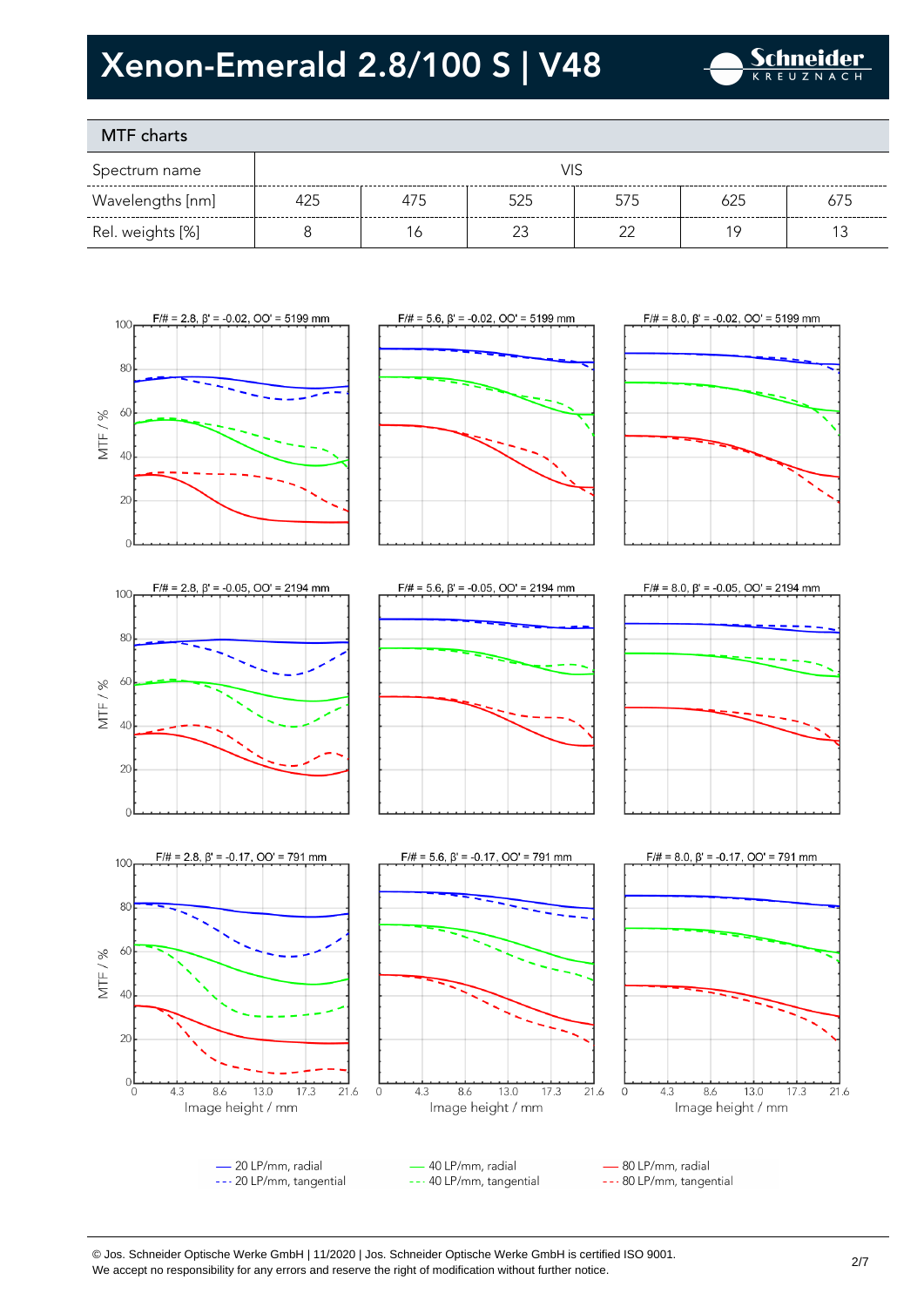

### MTF charts

| Spectrum name    |     |     |  |     |     |     |  |
|------------------|-----|-----|--|-----|-----|-----|--|
| Wavelengths [nm] | 425 | 475 |  | 575 | 625 | 675 |  |
| Rel. weights [%] |     |     |  | ∩∼  |     |     |  |









 $\overline{0}$ 





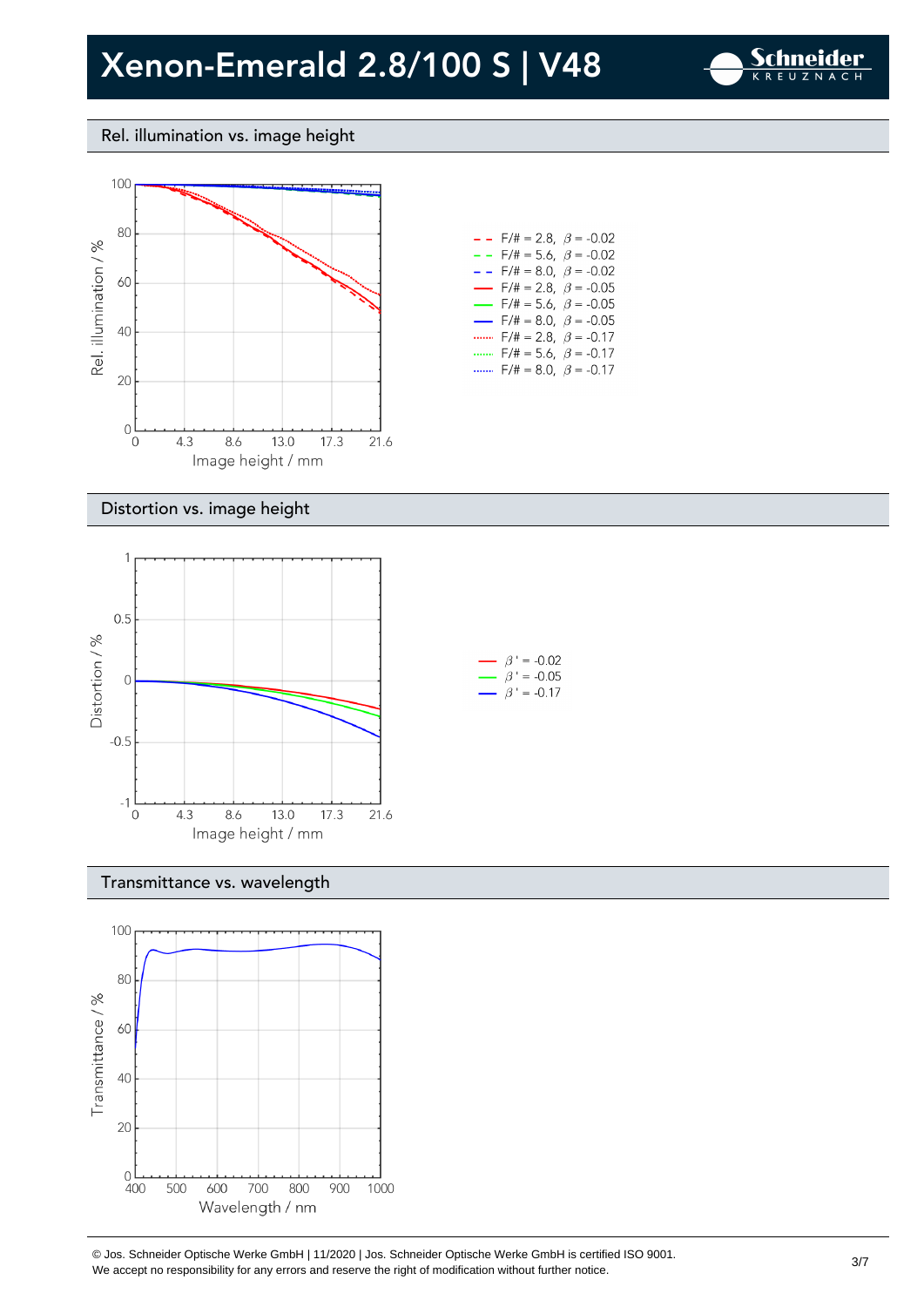

#### Rel. illumination vs. image height



|                          | $- -$ F/# = 2.8, $\beta$ = -0.02         |  |
|--------------------------|------------------------------------------|--|
|                          | $- -$ F/# = 5.6, $\beta$ = -0.02         |  |
|                          | $- -$ F/# = 8.0, $\beta$ = -0.02         |  |
|                          | $\rightarrow$ F/# = 2.8, $\beta$ = -0.05 |  |
|                          | $\rightarrow$ F/# = 5.6, $\beta$ = -0.05 |  |
| $\overline{\phantom{0}}$ | $F/\ddot{=} = 8.0, \ \beta = -0.05$      |  |
|                          | $F/\ddot{=} = 2.8$ , $\beta = -0.17$     |  |
|                          | F/# = 5.6, $\beta$ = -0.17               |  |
|                          | F/# = 8.0, $\beta$ = -0.17               |  |
|                          |                                          |  |

#### Distortion vs. image height



#### Transmittance vs. wavelength

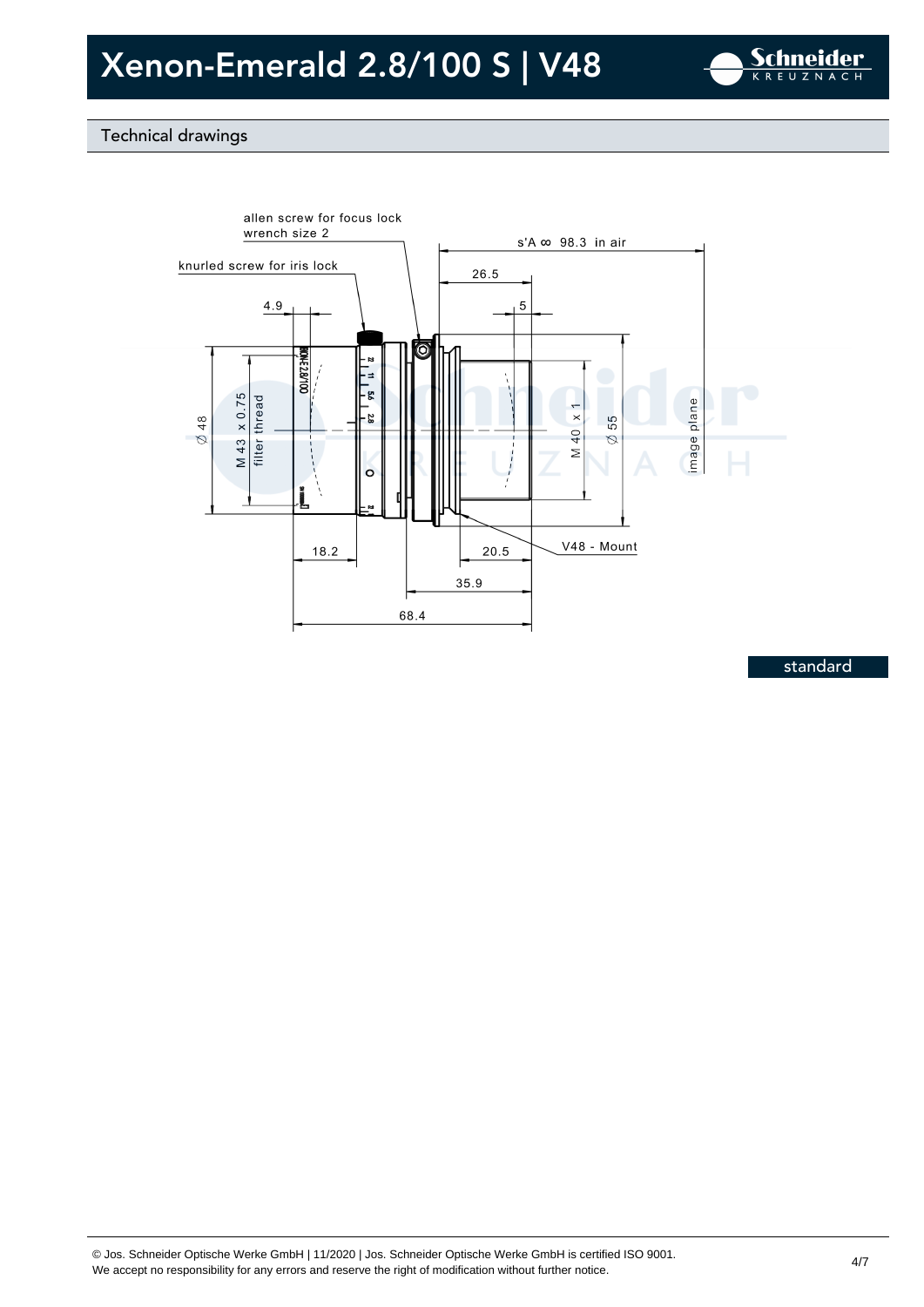

### Technical drawings



standard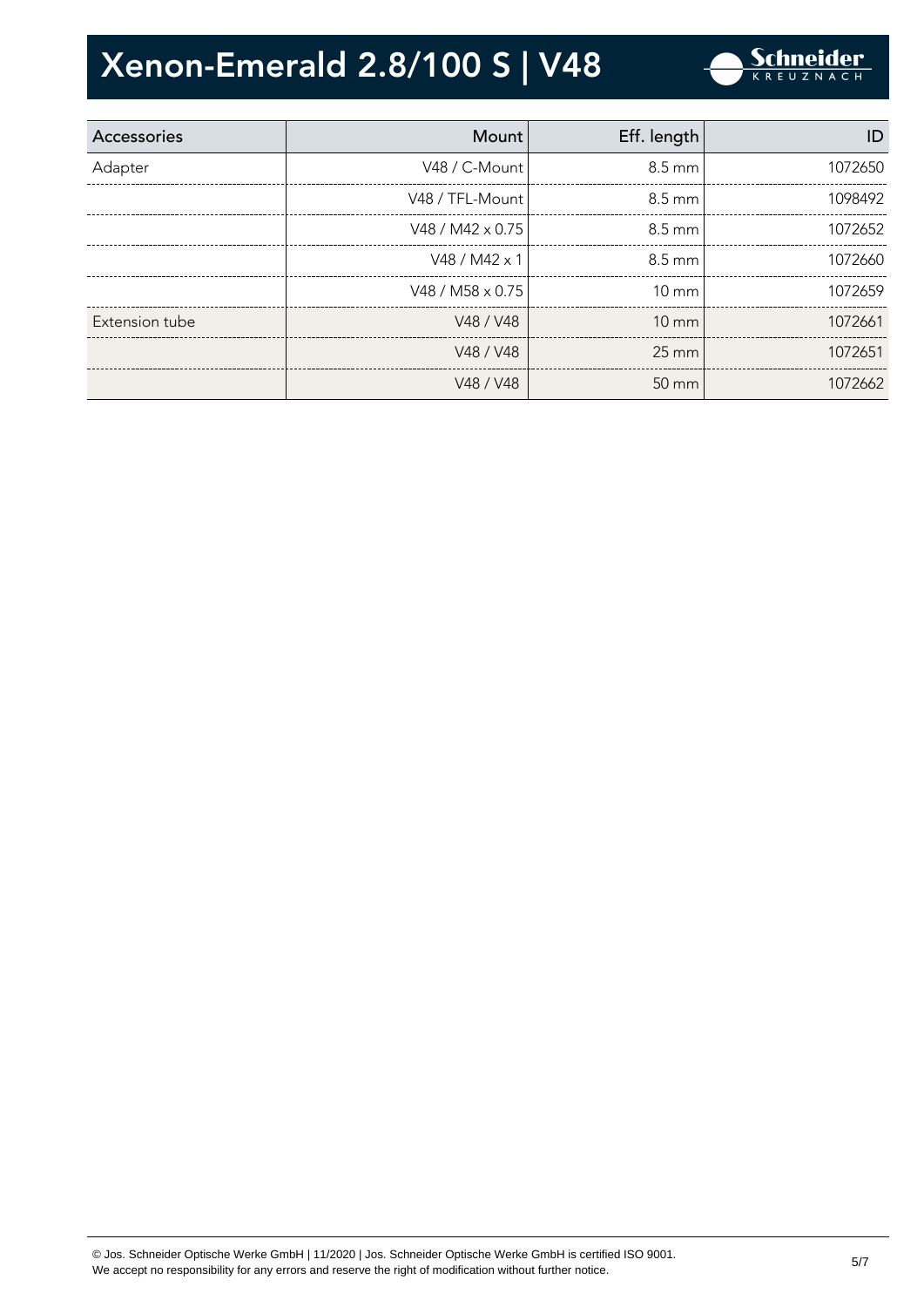

| Accessories    | Mount                   | Eff. length      | ID      |
|----------------|-------------------------|------------------|---------|
| Adapter        | V48 / C-Mount           | $8.5 \text{ mm}$ | 1072650 |
|                | V48 / TFL-Mount         | 8.5 mm           | 1098492 |
|                | V48 / M42 $\times$ 0.75 | $8.5 \text{ mm}$ | 1072652 |
|                | $V48 / M42 \times 1$    | $8.5 \text{ mm}$ | 1072660 |
|                | V48 / M58 x 0.75        | $10 \text{ mm}$  | 1072659 |
| Extension tube | V48 / V48               | $10 \text{ mm}$  | 1072661 |
|                | V48 / V48               | $25 \text{ mm}$  | 1072651 |
|                | V48 / V48               | $50 \text{ mm}$  | 1072662 |